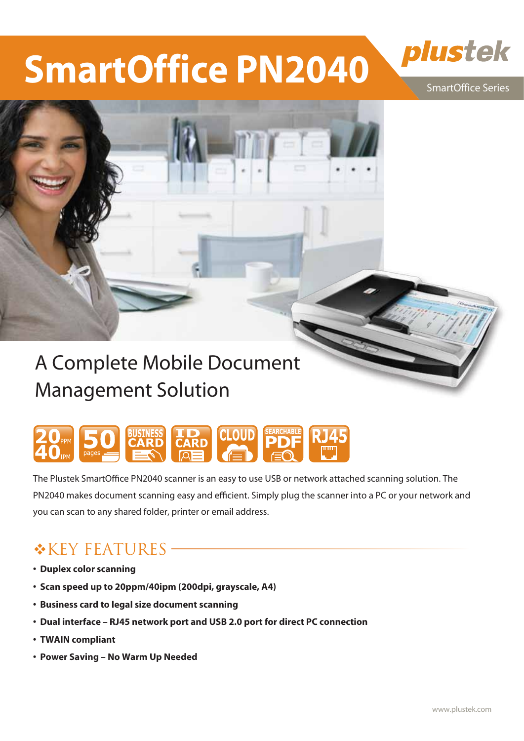## **SmartOffice PN2040**

SmartOffice Series

plustek

## A Complete Mobile Document Management Solution



The Plustek SmartOffice PN2040 scanner is an easy to use USB or network attached scanning solution. The PN2040 makes document scanning easy and efficient. Simply plug the scanner into a PC or your network and you can scan to any shared folder, printer or email address.

### **EXEY FEATURES-**

- **�Duplex color scanning**
- **�Scan speed up to 20ppm/40ipm (200dpi, grayscale, A4)**
- **�Business card to legal size document scanning**
- **�Dual interface RJ45 network port and USB 2.0 port for direct PC connection**
- **�TWAIN compliant**
- **�Power Saving No Warm Up Needed**